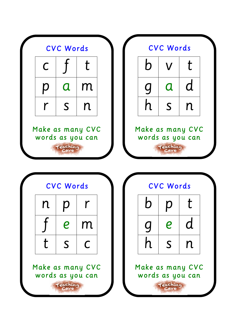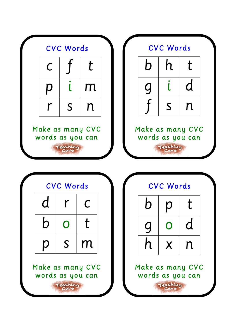